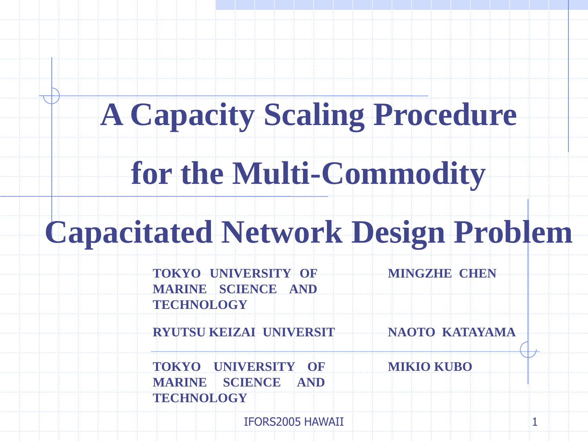## **A Capacity Scaling Procedure**

## **for the Multi-Commodity**

#### **Capacitated Network Design Problem**

**TOKYO UNIVERSITY OF MARINE SCIENCE AND TECHNOLOGY MINGZHE CHEN**

**RYUTSU KEIZAI UNIVERSIT NAOTO KATAYAMA**

**TOKYO UNIVERSITY OF MIKIO KUBO MARINE SCIENCE AND TECHNOLOGY**

IFORS2005 HAWAII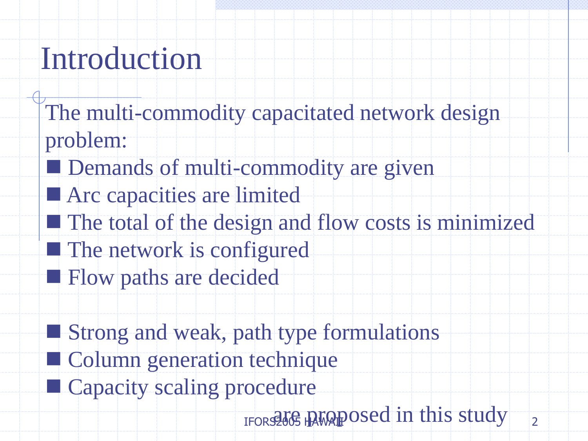## Introduction

- The multi-commodity capacitated network design problem:
- Demands of multi-commodity are given
- **Arc** capacities are limited
- $\blacksquare$  The total of the design and flow costs is minimized
- The network is configured
- **Flow paths are decided**
- **Strong and weak, path type formulations**
- **Column generation technique**
- **Capacity scaling procedure** 
	- $\overline{2}$ IFORS2605 HAWAIPOSed in this study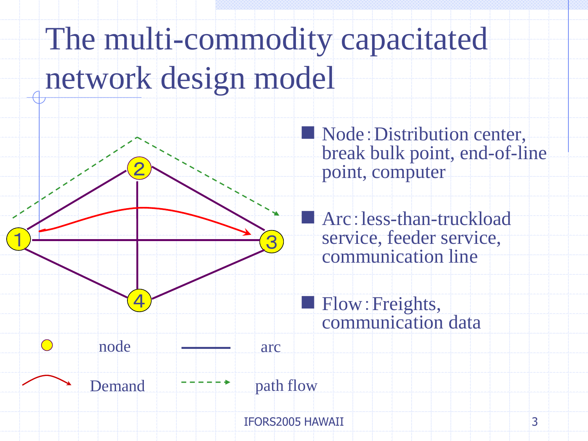# The multi-commodity capacitated network design model



 Node:Distribution center, break bulk point, end-of-line point, computer

 Arc:less-than-truckload service, feeder service, communication line

 Flow:Freights, communication data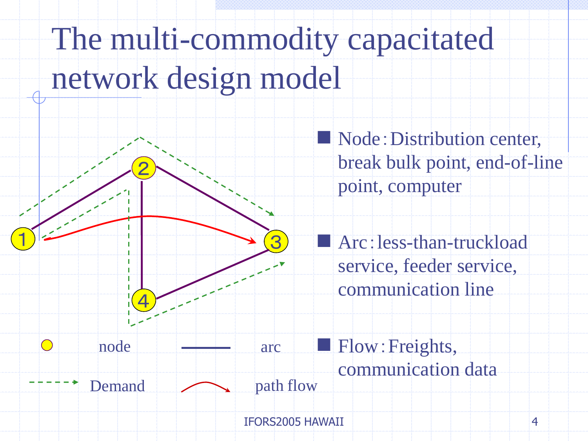# The multi-commodity capacitated network design model



Node: Distribution center, break bulk point, end-of-line point, computer

Arc: less-than-truckload service, feeder service, communication line

4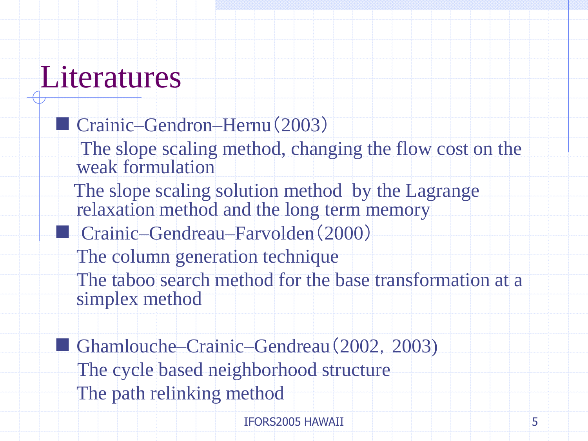#### **Literatures**

- Crainic–Gendron–Hernu (2003) The slope scaling method, changing the flow cost on the weak formulation The slope scaling solution method by the Lagrange relaxation method and the long term memory Crainic–Gendreau–Farvolden(2000) The column generation technique The taboo search method for the base transformation at a simplex method
- Ghamlouche–Crainic–Gendreau (2002, 2003) The cycle based neighborhood structure The path relinking method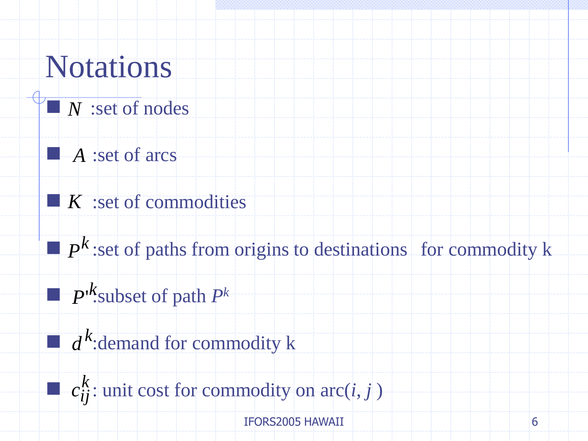## Notations

- *N* : set of nodes
- **A** :set of arcs
- :set of commodities *K*
- $\blacksquare$   $P^k$ :set of paths from origins to destinations for commodity k *P*
- $\blacksquare$  *P*<sup>*k*</sup>. Subset of path *P*<sup>*k*</sup> *P*'
- $\Box$   $d^k$ :demand for commodity k *d*
- $\blacksquare$   $c_{ij}^k$ : unit cost for commodity on arc(*i*, *j*)  $c^{\rm \kappa}_{ij}$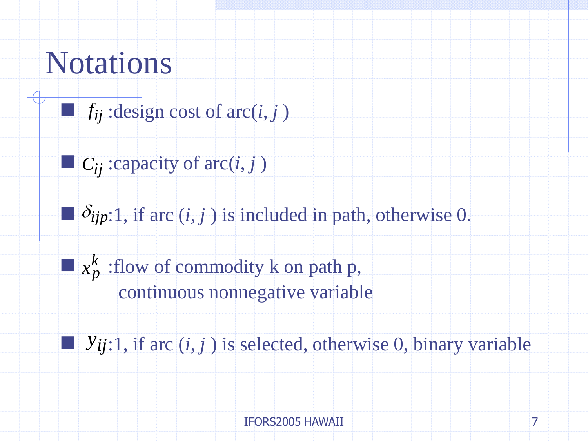## Notations

- $\blacksquare$   $f_{ij}$ : design cost of arc(*i*, *j*)
- $\blacksquare$  *C*<sub>*ij*</sub> : capacity of arc(*i*, *j*)
- $\delta_{ijp:1}$ , if arc  $(i, j)$  is included in path, otherwise 0.
- $\blacksquare$   $x_p^k$  : flow of commodity k on path p,  $x_{\bm p}^{\bm \kappa}$ 
	- continuous nonnegative variable
- $\blacksquare$   $y_{ij:1}$ , if arc  $(i, j)$  is selected, otherwise 0, binary variable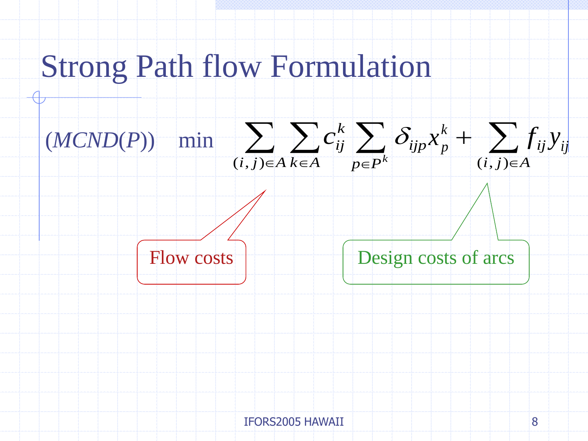#### Strong Path flow Formulation





Flow costs **Design** costs of arcs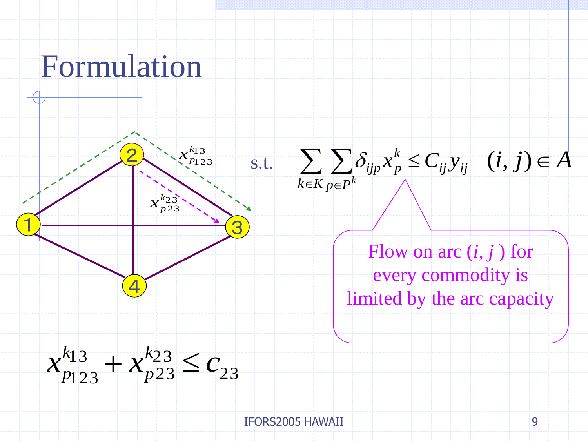#### Formulation

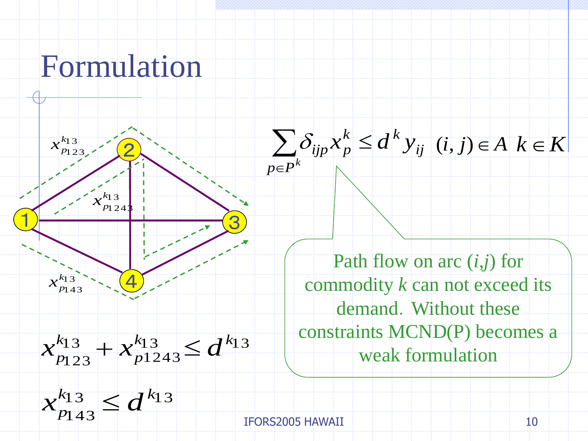#### Formulation





Path flow on arc (*i*,*j*) for commodity *k* can not exceed its demand. Without these constraints MCND(P) becomes a weak formulation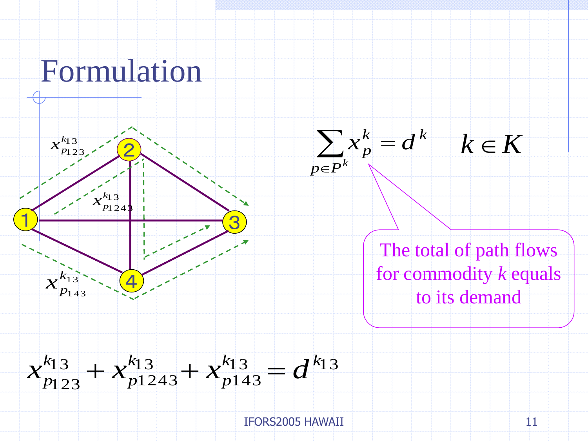



IFORS2005 HAWAII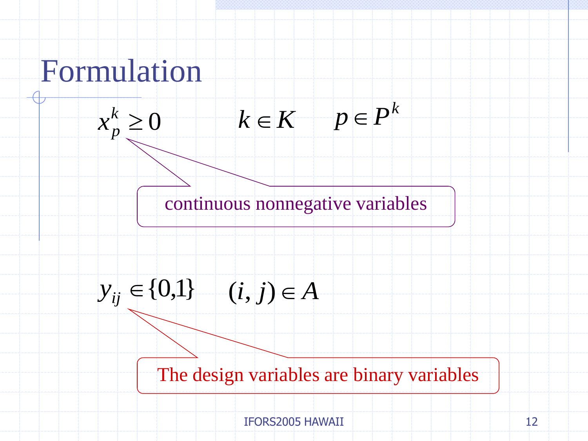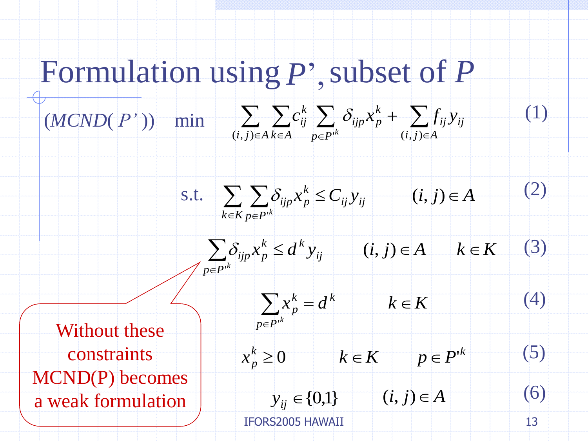## Formulation using P', subset of P

#### $\sum \ \sum c_{ij}^k \ \sum \ \delta_{ijp} x_p^k + \ \sum$  $e \in A$   $k \in A$   $p \in P^{\{k\}}$   $(i, j) \in A$ ┿  $i, j \in A$   $k \in A$  *p*  $\in P$  *i k (i,j)* $\in A$ *ij ij k*  $i$ *jp* $\lambda$ <sub>*p*</sub> *k ij k*  $c_{ii}^k$   $\sum \delta_{iip} x_n^k + \sum f_{ii} y$  $(i, j) \in A$   $k \in A$   $p \in P^k$   $(i, j)$  $(MCND(P^{\prime}))$  min  $\sum C_{ij}^{k} \sum C_{ij}^{k}$







 $p \ge 0$  *k*  $\in K$  *p*  $p \in P^k$ 

 ${y_{ii}} \in \{0,1\}$   $(i, j) \in A$ 

Without these constraints MCND(P) becomes a weak formulation

IFORS2005 HAWAII

 $\frac{k}{p} \geq 0$ 

(6)

(4)

(5)

(1)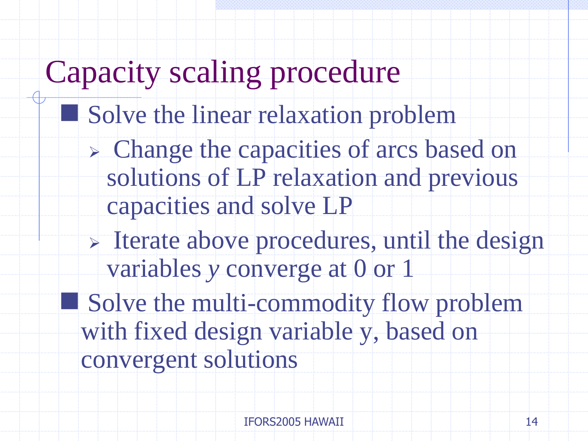## Capacity scaling procedure

- Solve the linear relaxation problem
	- Change the capacities of arcs based on solutions of LP relaxation and previous capacities and solve LP
	- $\triangleright$  Iterate above procedures, until the design variables *y* converge at 0 or 1
- Solve the multi-commodity flow problem with fixed design variable y, based on convergent solutions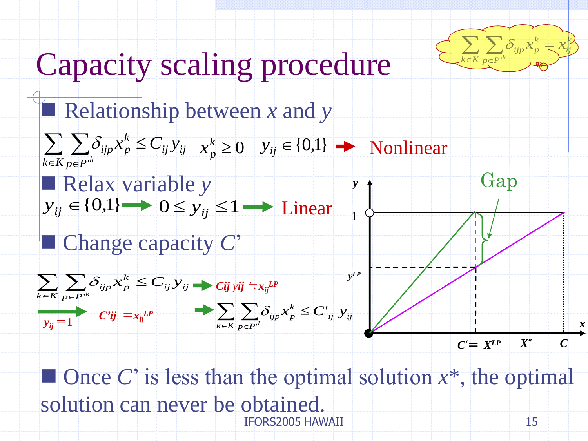

*x*

## Capacity scaling procedure





15  $\blacksquare$  Once *C*' is less than the optimal solution  $x^*$ , the optimal solution can never be obtained. IFORS2005 HAWAII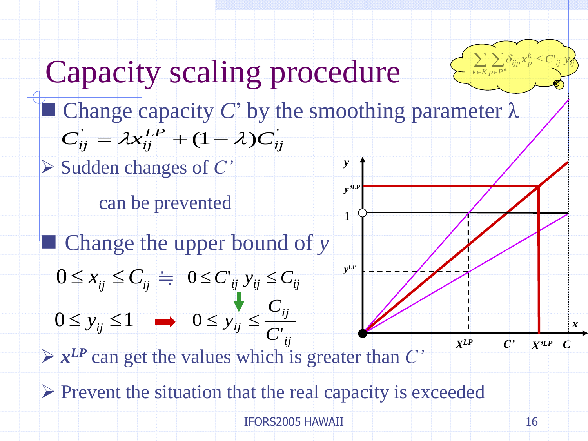

#### Capacity scaling procedure

- *y*  $C_{ij}^{'} = \lambda x_{ij}^{LP} + (1 - \lambda)C_{ij}^{'}$ **Capacity scaling procedure**<br> **C** Change capacity C' by the smoothing parameter<br>  $C_{ij} = \lambda x_{ij}^{LP} + (1 - \lambda)C_{ij}$ <br>  $\geq$  Sudden changes of C'<br>
can be prevented<br> **C** Change the upper bound of y<br>  $0 \leq x_{ij} \leq C_{ij} \Rightarrow 0 \leq C_{ij}$   $y_{$  $\blacksquare$  Change capacity *C*' by the smoothing parameter  $\lambda$
- Sudden changes of *C'*
	- can be prevented
- Change the upper bound of *y* 
	- $0 \le x_{ij} \le C_{ij} = 0 \le C'_{ij}$   $y_{ij} \le C'_{ij}$
	- *ij ij*  $ij \geq C$  $y_{ij} \leq \frac{y_i}{c}$  $0 \le y_{ij} \le 1 \longrightarrow 0 \le y_{ij} \le$
- $\triangleright$   $x^{LP}$  can get the values which is greater than *C*<sup>*'*</sup>
- 

*C*

*y LP*

1

*y'LP*

*x*

*XLP C X'LP*

*C'*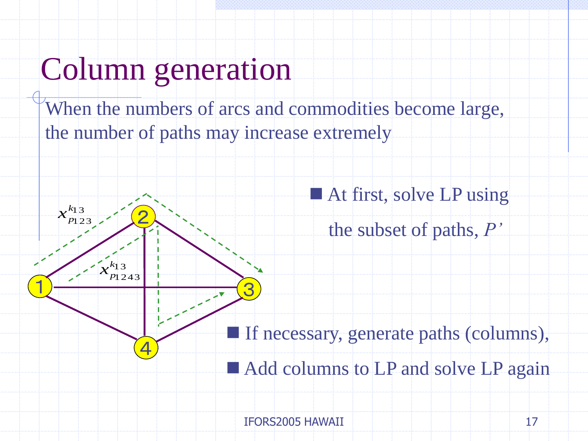#### Column generation

When the numbers of arcs and commodities become large, the number of paths may increase extremely

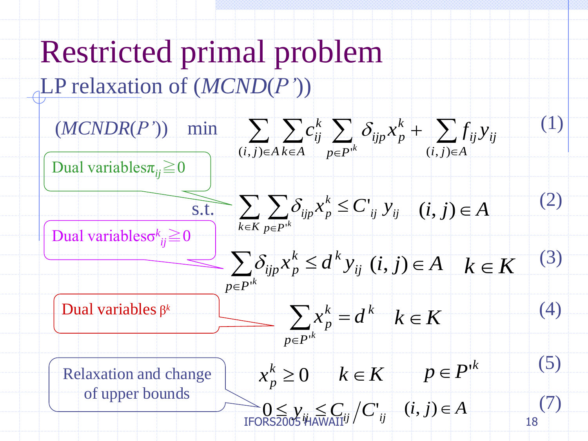#### Restricted primal problem LP relaxation of (*MCND*(*P'*))

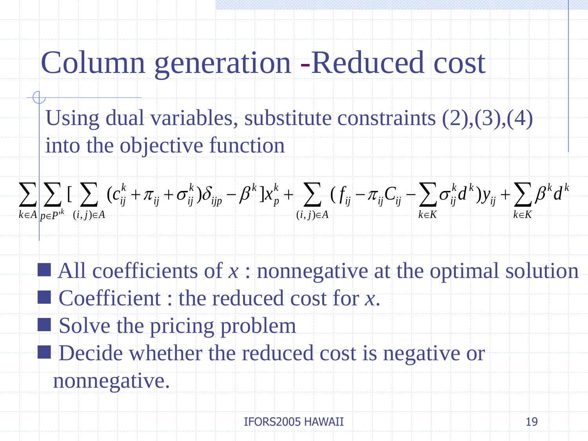## Column generation -Reduced cost

Using dual variables, substitute constraints (2),(3),(4) into the objective function



 $\blacksquare$  All coefficients of x : nonnegative at the optimal solution Coefficient : the reduced cost for *x*. Solve the pricing problem Decide whether the reduced cost is negative or  $\sum_{k \in A} \sum_{p \in P^k} \left[ \sum_{(i,j) \in A} (c_{ij}^k + \pi_{ij} + \sigma_{ij}^k) \delta_{ijp} - \beta^k \right] x_p^k + \sum_{(i,j) \in A} (f_{ij} - \pi_{ij} C_{ij} - \sum_{k \in K} \sigma_{ij}^k d^k) y_{ij} + \sum_{k \in K}$ <br>
All coefficients of x : nonnegative at the optimal sol<br>
Coefficient : the reduced cos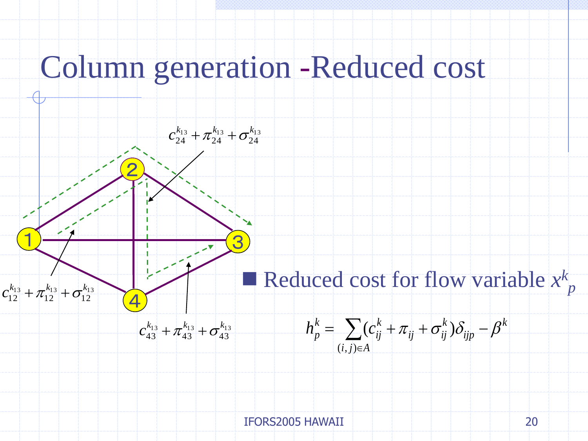#### Column generation -Reduced cost

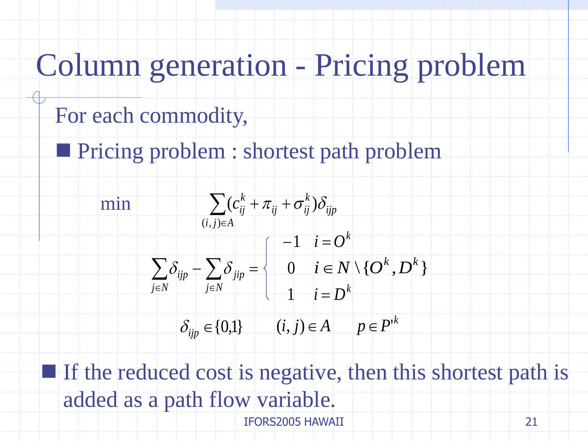## Column generation - Pricing problem

- For each commodity,
- **Pricing problem : shortest path problem**



21  $\blacksquare$  If the reduced cost is negative, then this shortest path is added as a path flow variable. IFORS2005 HAWAII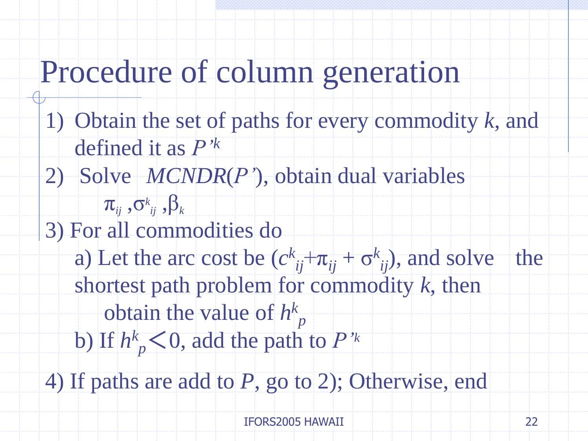#### Procedure of column generation

- 1) Obtain the set of paths for every commodity *k*, and defined it as *P'<sup>k</sup>*
- 2) Solve *MCNDR*(*P'*), obtain dual variables
- $\boldsymbol{\pi}_{_{ij}}$  , $\mathbf{\sigma}_{_{ij}}^{_k}$  , $\boldsymbol{\beta}_{_k}$ 3) For all commodities do
	- a) Let the arc cost be  $(c^{k}_{ij}+\pi_{ij}+\sigma^{k}_{ij})$ , and solve the shortest path problem for commodity *k*, then
		- obtain the value of *h k p*
		- b) If  $h^k$ <sub>p</sub> < 0, add the path to *P*'<sup>*k*</sup>
- 4) If paths are add to *P*, go to 2); Otherwise, end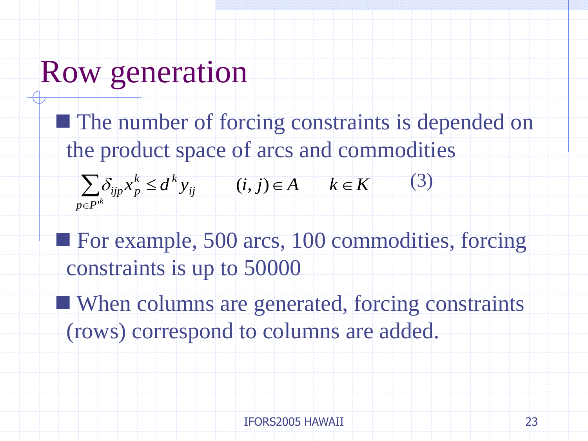#### Row generation

**The number of forcing constraints is depended on** the product space of arcs and commodities

 $\sum$  $\in$  $\leq$  $p \in P^{\dagger k}$ *ij k k*  $\sum_{ijp}^k x_p^k \leq d^k y$ '  $\delta_{\text{lin}} x_{p}^{k} \leq d^{k} y_{i}$   $(i, j) \in A$   $k \in K$ (3)

- For example, 500 arcs, 100 commodities, forcing constraints is up to 50000
- When columns are generated, forcing constraints (rows) correspond to columns are added.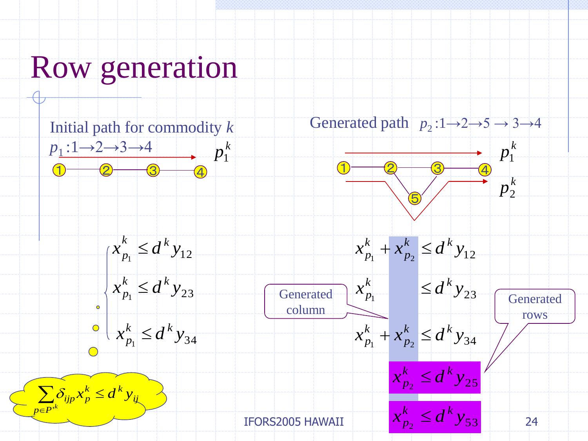#### Row generation

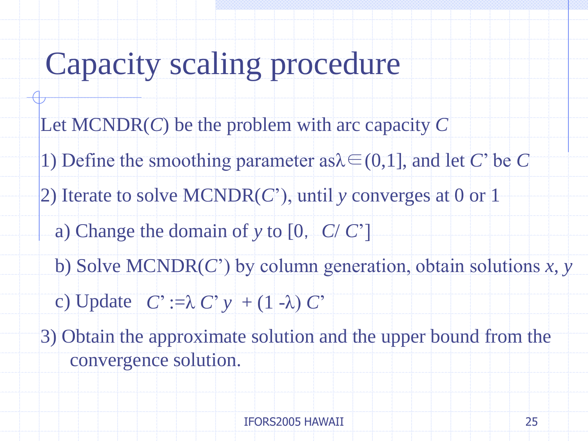## Capacity scaling procedure

- Let MCNDR(*C*) be the problem with arc capacity *C*
- 1) Define the smoothing parameter as  $\lambda \in (0,1]$ , and let *C*' be *C*
- 2) Iterate to solve MCNDR(*C*'), until *y* converges at 0 or 1
	- a) Change the domain of *y* to [0, *C*/ *C*']
	- b) Solve MCNDR(*C*') by column generation, obtain solutions *x*, *y*
	- c) Update  $C' := \lambda C' y + (1 \lambda) C'$
- 3) Obtain the approximate solution and the upper bound from the convergence solution.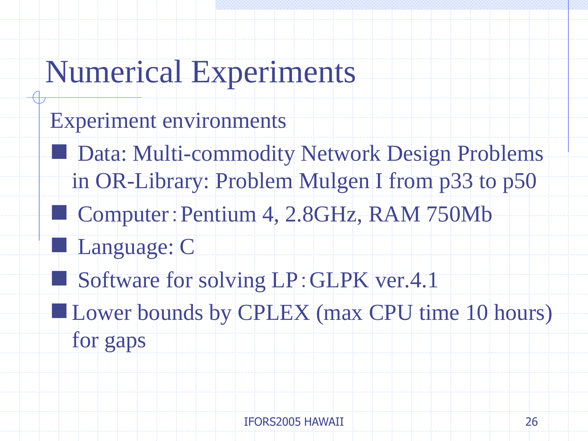#### Numerical Experiments

- Experiment environments
	- **Data: Multi-commodity Network Design Problems** in OR-Library: Problem Mulgen I from p33 to p50
		- Computer:Pentium 4, 2.8GHz, RAM 750Mb
		- Language: C
- Software for solving LP: GLPK ver.4.1
- **Lower bounds by CPLEX (max CPU time 10 hours)** 
	- for gaps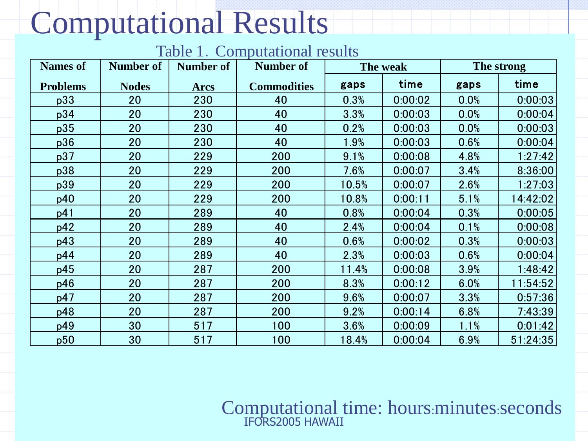## Computational Results

Table 1. Computational results

| Table 1. Computational results |                  |                  |                    |          |         |            |          |
|--------------------------------|------------------|------------------|--------------------|----------|---------|------------|----------|
| <b>Names of</b>                | <b>Number of</b> | <b>Number of</b> | <b>Number of</b>   | The weak |         | The strong |          |
| <b>Problems</b>                | <b>Nodes</b>     | <b>Arcs</b>      | <b>Commodities</b> | gaps     | time    | gaps       | time     |
| p33                            | 20               | 230              | 40                 | 0.3%     | 0:00:02 | 0.0%       | 0:00:03  |
| p34                            | 20               | 230              | 40                 | 3.3%     | 0:00:03 | 0.0%       | 0:00:04  |
| p35                            | 20               | 230              | 40                 | 0.2%     | 0:00:03 | 0.0%       | 0:00:03  |
| p36                            | 20               | 230              | 40                 | 1.9%     | 0:00:03 | 0.6%       | 0:00:04  |
| p37                            | 20               | 229              | 200                | 9.1%     | 0:00:08 | 4.8%       | 1:27:42  |
| p38                            | 20               | 229              | 200                | 7.6%     | 0:00:07 | 3.4%       | 8:36:00  |
| p39                            | 20               | 229              | 200                | 10.5%    | 0:00:07 | 2.6%       | 1:27:03  |
| p40                            | 20               | 229              | 200                | 10.8%    | 0:00:11 | 5.1%       | 14:42:02 |
| p41                            | 20               | 289              | 40                 | 0.8%     | 0:00:04 | 0.3%       | 0:00:05  |
| p42                            | 20               | 289              | 40                 | 2.4%     | 0:00:04 | 0.1%       | 0:00:08  |
| p43                            | 20               | 289              | 40                 | 0.6%     | 0:00:02 | 0.3%       | 0:00:03  |
| p44                            | 20               | 289              | 40                 | 2.3%     | 0:00:03 | 0.6%       | 0:00:04  |
| p45                            | 20               | 287              | 200                | 11.4%    | 0:00:08 | 3.9%       | 1:48:42  |
| p46                            | 20               | 287              | 200                | 8.3%     | 0:00:12 | 6.0%       | 11:54:52 |
| p47                            | 20               | 287              | 200                | 9.6%     | 0:00:07 | 3.3%       | 0:57:36  |
| p48                            | 20               | 287              | 200                | 9.2%     | 0:00:14 | 6.8%       | 7:43:39  |
| p49                            | 30               | 517              | 100                | 3.6%     | 0:00:09 | 1.1%       | 0:01:42  |
| p50                            | 30               | 517              | 100                | 18.4%    | 0:00:04 | 6.9%       | 51:24:35 |

#### Computational time: hours:minutes:seconds IFORS2005 HAWAII